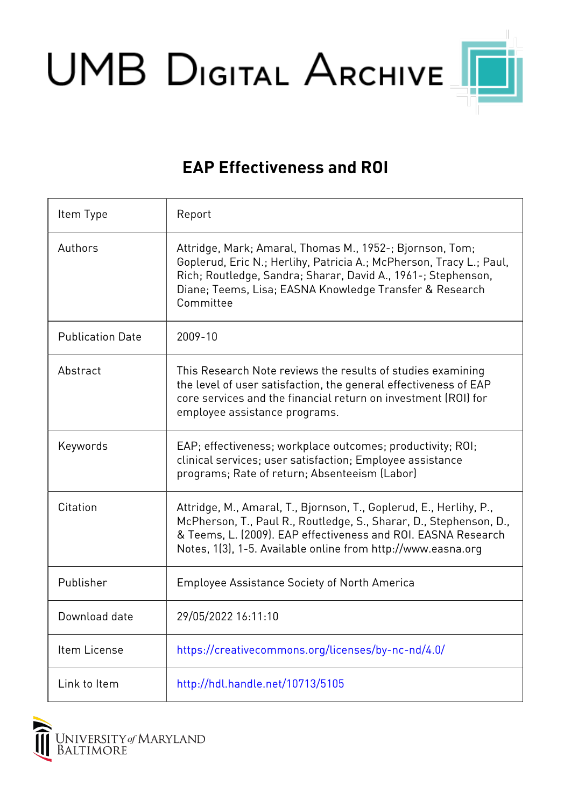UMB DIGITAL ARCHIVE

## **EAP Effectiveness and ROI**

| Item Type               | Report                                                                                                                                                                                                                                                                    |
|-------------------------|---------------------------------------------------------------------------------------------------------------------------------------------------------------------------------------------------------------------------------------------------------------------------|
| Authors                 | Attridge, Mark; Amaral, Thomas M., 1952-; Bjornson, Tom;<br>Goplerud, Eric N.; Herlihy, Patricia A.; McPherson, Tracy L.; Paul,<br>Rich; Routledge, Sandra; Sharar, David A., 1961-; Stephenson,<br>Diane; Teems, Lisa; EASNA Knowledge Transfer & Research<br>Committee  |
| <b>Publication Date</b> | 2009-10                                                                                                                                                                                                                                                                   |
| Abstract                | This Research Note reviews the results of studies examining<br>the level of user satisfaction, the general effectiveness of EAP<br>core services and the financial return on investment (ROI) for<br>employee assistance programs.                                        |
| Keywords                | EAP; effectiveness; workplace outcomes; productivity; ROI;<br>clinical services; user satisfaction; Employee assistance<br>programs; Rate of return; Absenteeism (Labor)                                                                                                  |
| Citation                | Attridge, M., Amaral, T., Bjornson, T., Goplerud, E., Herlihy, P.,<br>McPherson, T., Paul R., Routledge, S., Sharar, D., Stephenson, D.,<br>& Teems, L. (2009). EAP effectiveness and ROI. EASNA Research<br>Notes, 1(3), 1-5. Available online from http://www.easna.org |
| Publisher               | <b>Employee Assistance Society of North America</b>                                                                                                                                                                                                                       |
| Download date           | 29/05/2022 16:11:10                                                                                                                                                                                                                                                       |
| Item License            | https://creativecommons.org/licenses/by-nc-nd/4.0/                                                                                                                                                                                                                        |
| Link to Item            | http://hdl.handle.net/10713/5105                                                                                                                                                                                                                                          |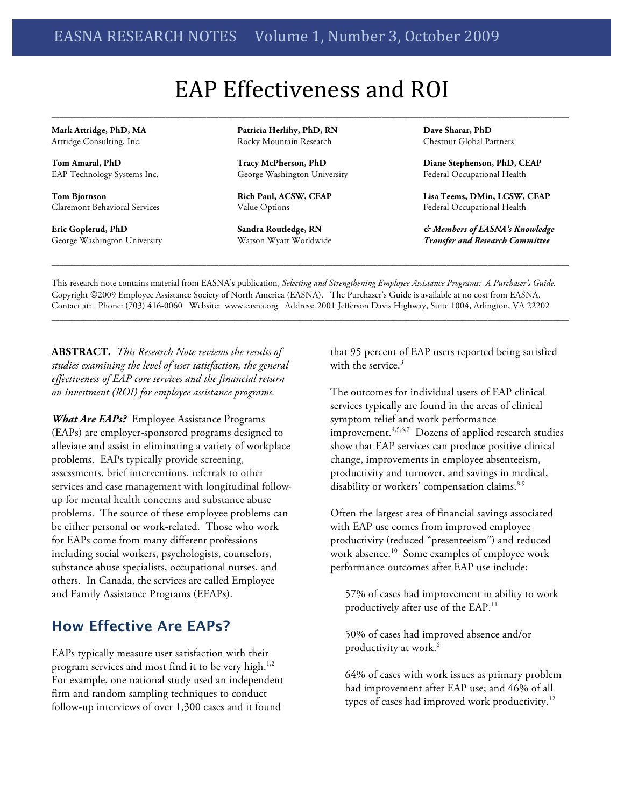# EAP Effectiveness and ROI

**\_\_\_\_\_\_\_\_\_\_\_\_\_\_\_\_\_\_\_\_\_\_\_\_\_\_\_\_\_\_\_\_\_\_\_\_\_\_\_\_\_\_\_\_\_\_\_\_\_\_\_\_\_\_\_\_\_\_\_\_\_\_\_\_\_\_\_\_\_\_\_\_\_\_\_\_\_\_\_\_\_\_\_\_\_\_\_\_\_\_\_\_\_\_\_\_\_\_\_\_\_\_\_\_\_\_\_\_\_\_\_\_\_\_\_\_\_\_\_\_\_\_\_\_\_\_\_**

**Mark Attridge, PhD, MA** Attridge Consulting, Inc.

**Tom Amaral, PhD** EAP Technology Systems Inc.

**Tom Bjornson** Claremont Behavioral Services

**Eric Goplerud, PhD** George Washington University **Patricia Herlihy, PhD, RN** Rocky Mountain Research

**Tracy McPherson, PhD** George Washington University

**Rich Paul, ACSW, CEAP** Value Options

**Sandra Routledge, RN** Watson Wyatt Worldwide **Dave Sharar, PhD** Chestnut Global Partners

**Diane Stephenson, PhD, CEAP** Federal Occupational Health

**Lisa Teems, DMin, LCSW, CEAP** Federal Occupational Health

*& Members of EASNA's Knowledge Transfer and Research Committee*

This research note contains material from EASNA's publication, *Selecting and Strengthening Employee Assistance Programs: A Purchaser's Guide.* Copyright ©2009 Employee Assistance Society of North America (EASNA). The Purchaser's Guide is available at no cost from EASNA. Contact at: Phone: (703) 416-0060 Website: www.easna.org Address: 2001 Jefferson Davis Highway, Suite 1004, Arlington, VA 22202

**\_\_\_\_\_\_\_\_\_\_\_\_\_\_\_\_\_\_\_\_\_\_\_\_\_\_\_\_\_\_\_\_\_\_\_\_\_\_\_\_\_\_\_\_\_\_\_\_\_\_\_\_\_\_\_\_\_\_\_\_\_\_\_\_\_\_\_\_\_\_\_\_\_\_\_\_\_\_\_\_\_\_\_\_\_\_\_\_\_\_\_\_\_\_\_\_\_\_\_\_\_\_\_\_\_\_\_\_\_\_\_\_\_\_\_\_\_\_\_\_\_\_\_\_\_\_\_**

**ABSTRACT.** *This Research Note reviews the results of studies examining the level of user satisfaction, the general effectiveness of EAP core services and the financial return on investment (ROI) for employee assistance programs.*

*What Are EAPs?* Employee Assistance Programs (EAPs) are employer-sponsored programs designed to alleviate and assist in eliminating a variety of workplace problems. EAPs typically provide screening, assessments, brief interventions, referrals to other services and case management with longitudinal followup for mental health concerns and substance abuse problems. The source of these employee problems can be either personal or work-related. Those who work for EAPs come from many different professions including social workers, psychologists, counselors, substance abuse specialists, occupational nurses, and others. In Canada, the services are called Employee and Family Assistance Programs (EFAPs).

## **How Effective Are EAPs?**

EAPs typically measure user satisfaction with their program services and most find it to be very high. 1,2 For example, one national study used an independent firm and random sampling techniques to conduct follow-up interviews of over 1,300 cases and it found

that 95 percent of EAP users reported being satisfied with the service. 3

The outcomes for individual users of EAP clinical services typically are found in the areas of clinical symptom relief and work performance improvement.<sup>4,5,6,7</sup> Dozens of applied research studies show that EAP services can produce positive clinical change, improvements in employee absenteeism, productivity and turnover, and savings in medical, disability or workers' compensation claims.<sup>8,9</sup>

Often the largest area of financial savings associated with EAP use comes from improved employee productivity (reduced "presenteeism") and reduced work absence.<sup>10</sup> Some examples of employee work performance outcomes after EAP use include:

57% of cases had improvement in ability to work productively after use of the EAP. 11

50% of cases had improved absence and/or productivity at work. 6

64% of cases with work issues as primary problem had improvement after EAP use; and 46% of all types of cases had improved work productivity.<sup>12</sup>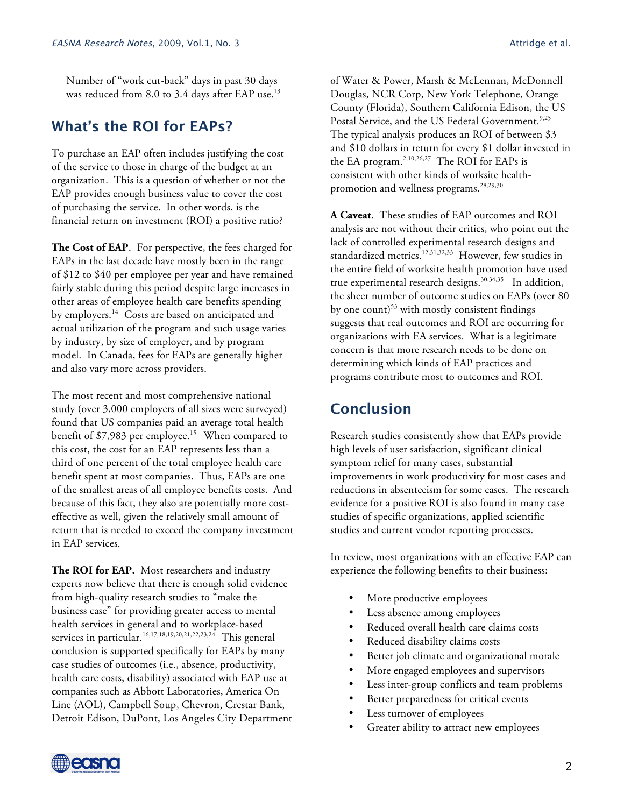Number of "work cut-back" days in past 30 days was reduced from 8.0 to 3.4 days after EAP use.<sup>13</sup>

### **What's the ROI for EAPs?**

To purchase an EAP often includes justifying the cost of the service to those in charge of the budget at an organization. This is a question of whether or not the EAP provides enough business value to cover the cost of purchasing the service. In other words, is the financial return on investment (ROI) a positive ratio?

**The Cost of EAP**. For perspective, the fees charged for EAPs in the last decade have mostly been in the range of \$12 to \$40 per employee per year and have remained fairly stable during this period despite large increases in other areas of employee health care benefits spending by employers. <sup>14</sup> Costs are based on anticipated and actual utilization of the program and such usage varies by industry, by size of employer, and by program model. In Canada, fees for EAPs are generally higher and also vary more across providers.

The most recent and most comprehensive national study (over 3,000 employers of all sizes were surveyed) found that US companies paid an average total health benefit of \$7,983 per employee. 15 When compared to this cost, the cost for an EAP represents less than a third of one percent of the total employee health care benefit spent at most companies. Thus, EAPs are one of the smallest areas of all employee benefits costs. And because of this fact, they also are potentially more costeffective as well, given the relatively small amount of return that is needed to exceed the company investment in EAP services.

**The ROI for EAP.** Most researchers and industry experts now believe that there is enough solid evidence from high-quality research studies to "make the business case" for providing greater access to mental health services in general and to workplace-based services in particular.<sup>16,17,18,19,20,21,22,23,24</sup> This general conclusion is supported specifically for EAPs by many case studies of outcomes (i.e., absence, productivity, health care costs, disability) associated with EAP use at companies such as Abbott Laboratories, America On Line (AOL), Campbell Soup, Chevron, Crestar Bank, Detroit Edison, DuPont, Los Angeles City Department of Water & Power, Marsh & McLennan, McDonnell Douglas, NCR Corp, New York Telephone, Orange County (Florida), Southern California Edison, the US Postal Service, and the US Federal Government.<sup>9,25</sup> The typical analysis produces an ROI of between \$3 and \$10 dollars in return for every \$1 dollar invested in the EA program.2,10,26,27 The ROI for EAPs is

**A Caveat**. These studies of EAP outcomes and ROI analysis are not without their critics, who point out the lack of controlled experimental research designs and standardized metrics.<sup>12,31,32,33</sup> However, few studies in the entire field of worksite health promotion have used true experimental research designs. 30,34,35 In addition, the sheer number of outcome studies on EAPs (over 80 by one count)<sup>53</sup> with mostly consistent findings suggests that real outcomes and ROI are occurring for organizations with EA services. What is a legitimate concern is that more research needs to be done on determining which kinds of EAP practices and programs contribute most to outcomes and ROI.

consistent with other kinds of worksite healthpromotion and wellness programs. 28,29,30

### **Conclusion**

Research studies consistently show that EAPs provide high levels of user satisfaction, significant clinical symptom relief for many cases, substantial improvements in work productivity for most cases and reductions in absenteeism for some cases. The research evidence for a positive ROI is also found in many case studies of specific organizations, applied scientific studies and current vendor reporting processes.

In review, most organizations with an effective EAP can experience the following benefits to their business:

- More productive employees
- Less absence among employees
- Reduced overall health care claims costs
- Reduced disability claims costs
- Better job climate and organizational morale
- More engaged employees and supervisors
- Less inter-group conflicts and team problems
- Better preparedness for critical events
- Less turnover of employees
- Greater ability to attract new employees

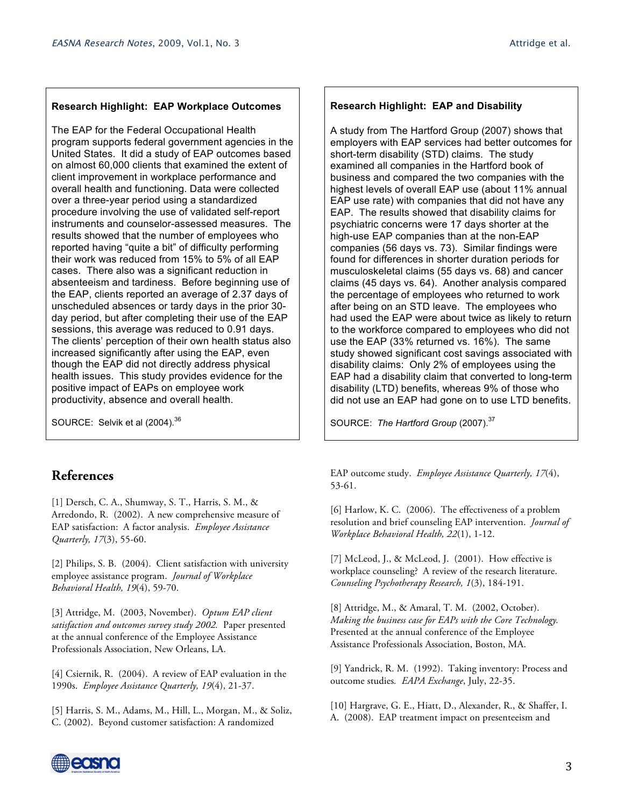#### **Research Highlight: EAP Workplace Outcomes**

The EAP for the Federal Occupational Health program supports federal government agencies in the United States. It did a study of EAP outcomes based on almost 60,000 clients that examined the extent of client improvement in workplace performance and overall health and functioning. Data were collected over a three-year period using a standardized procedure involving the use of validated self-report instruments and counselor-assessed measures. The results showed that the number of employees who reported having "quite a bit" of difficulty performing their work was reduced from 15% to 5% of all EAP cases. There also was a significant reduction in absenteeism and tardiness. Before beginning use of the EAP, clients reported an average of 2.37 days of unscheduled absences or tardy days in the prior 30 day period, but after completing their use of the EAP sessions, this average was reduced to 0.91 days. The clients' perception of their own health status also increased significantly after using the EAP, even though the EAP did not directly address physical health issues. This study provides evidence for the positive impact of EAPs on employee work productivity, absence and overall health.

SOURCE: Selvik et al (2004).<sup>36</sup>

#### **References**

[1] Dersch, C. A., Shumway, S. T., Harris, S. M., & Arredondo, R. (2002). A new comprehensive measure of EAP satisfaction: A factor analysis. *Employee Assistance Quarterly, 17*(3), 55-60.

[2] Philips, S. B. (2004). Client satisfaction with university employee assistance program. *Journal of Workplace Behavioral Health, 19*(4), 59-70.

[3] Attridge, M. (2003, November). *Optum EAP client satisfaction and outcomes survey study 2002.* Paper presented at the annual conference of the Employee Assistance Professionals Association, New Orleans, LA.

[4] Csiernik, R. (2004). A review of EAP evaluation in the 1990s. *Employee Assistance Quarterly, 19*(4), 21-37.

[5] Harris, S. M., Adams, M., Hill, L., Morgan, M., & Soliz, C. (2002). Beyond customer satisfaction: A randomized

#### **Research Highlight: EAP and Disability**

A study from The Hartford Group (2007) shows that employers with EAP services had better outcomes for short-term disability (STD) claims. The study examined all companies in the Hartford book of business and compared the two companies with the highest levels of overall EAP use (about 11% annual EAP use rate) with companies that did not have any EAP. The results showed that disability claims for psychiatric concerns were 17 days shorter at the high-use EAP companies than at the non-EAP companies (56 days vs. 73). Similar findings were found for differences in shorter duration periods for musculoskeletal claims (55 days vs. 68) and cancer claims (45 days vs. 64). Another analysis compared the percentage of employees who returned to work after being on an STD leave. The employees who had used the EAP were about twice as likely to return to the workforce compared to employees who did not use the EAP (33% returned vs. 16%). The same study showed significant cost savings associated with disability claims: Only 2% of employees using the EAP had a disability claim that converted to long-term disability (LTD) benefits, whereas 9% of those who did not use an EAP had gone on to use LTD benefits.

SOURCE: The Hartford Group (2007).<sup>37</sup>

EAP outcome study. *Employee Assistance Quarterly, 17*(4), 53-61.

[6] Harlow, K. C. (2006). The effectiveness of a problem resolution and brief counseling EAP intervention. *Journal of Workplace Behavioral Health, 22*(1), 1-12.

[7] McLeod, J., & McLeod, J. (2001). How effective is workplace counseling? A review of the research literature. *Counseling Psychotherapy Research, 1*(3), 184-191.

[8] Attridge, M., & Amaral, T. M. (2002, October). *Making the business case for EAPs with the Core Technology.* Presented at the annual conference of the Employee Assistance Professionals Association, Boston, MA.

[9] Yandrick, R. M. (1992). Taking inventory: Process and outcome studies*. EAPA Exchange*, July, 22-35.

[10] Hargrave, G. E., Hiatt, D., Alexander, R., & Shaffer, I. A. (2008). EAP treatment impact on presenteeism and

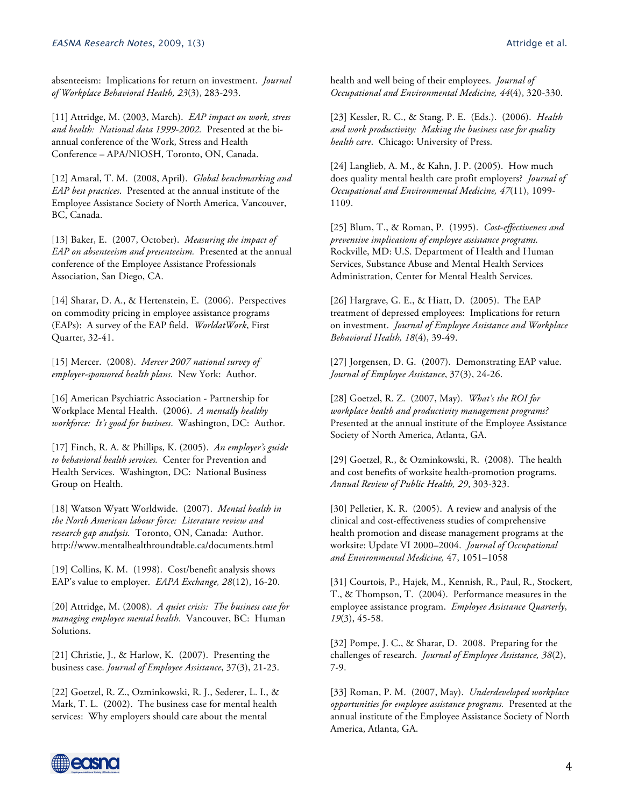absenteeism: Implications for return on investment. *Journal of Workplace Behavioral Health, 23*(3), 283-293.

[11] Attridge, M. (2003, March). *EAP impact on work, stress and health: National data 1999-2002.* Presented at the biannual conference of the Work, Stress and Health Conference – APA/NIOSH, Toronto, ON, Canada.

[12] Amaral, T. M. (2008, April). *Global benchmarking and EAP best practices*. Presented at the annual institute of the Employee Assistance Society of North America, Vancouver, BC, Canada.

[13] Baker, E. (2007, October). *Measuring the impact of EAP on absenteeism and presenteeism.* Presented at the annual conference of the Employee Assistance Professionals Association, San Diego, CA.

[14] Sharar, D. A., & Hertenstein, E. (2006). Perspectives on commodity pricing in employee assistance programs (EAPs): A survey of the EAP field. *WorldatWork*, First Quarter, 32-41.

[15] Mercer. (2008). *Mercer 2007 national survey of employer-sponsored health plans*. New York: Author.

[16] American Psychiatric Association - Partnership for Workplace Mental Health. (2006). *A mentally healthy workforce: It's good for business*. Washington, DC: Author.

[17] Finch, R. A. & Phillips, K. (2005). *An employer's guide to behavioral health services.* Center for Prevention and Health Services. Washington, DC: National Business Group on Health.

[18] Watson Wyatt Worldwide. (2007). *Mental health in the North American labour force: Literature review and research gap analysis.* Toronto, ON, Canada: Author. http://www.mentalhealthroundtable.ca/documents.html

[19] Collins, K. M. (1998). Cost/benefit analysis shows EAP's value to employer. *EAPA Exchange, 28*(12), 16-20.

[20] Attridge, M. (2008). *A quiet crisis: The business case for managing employee mental health*. Vancouver, BC: Human Solutions.

[21] Christie, J., & Harlow, K. (2007). Presenting the business case. *Journal of Employee Assistance*, 37(3), 21-23.

[22] Goetzel, R. Z., Ozminkowski, R. J., Sederer, L. I., & Mark, T. L. (2002). The business case for mental health services: Why employers should care about the mental

health and well being of their employees. *Journal of Occupational and Environmental Medicine, 44*(4), 320-330.

[23] Kessler, R. C., & Stang, P. E. (Eds.). (2006). *Health and work productivity: Making the business case for quality health care*. Chicago: University of Press.

[24] Langlieb, A. M., & Kahn, J. P. (2005). How much does quality mental health care profit employers? *Journal of Occupational and Environmental Medicine, 47*(11), 1099- 1109.

[25] Blum, T., & Roman, P. (1995). *Cost-effectiveness and preventive implications of employee assistance programs.* Rockville, MD: U.S. Department of Health and Human Services, Substance Abuse and Mental Health Services Administration, Center for Mental Health Services.

[26] Hargrave, G. E., & Hiatt, D. (2005). The EAP treatment of depressed employees: Implications for return on investment. *Journal of Employee Assistance and Workplace Behavioral Health, 18*(4), 39-49.

[27] Jorgensen, D. G. (2007). Demonstrating EAP value. *Journal of Employee Assistance*, 37(3), 24-26.

[28] Goetzel, R. Z. (2007, May). *What's the ROI for workplace health and productivity management programs?* Presented at the annual institute of the Employee Assistance Society of North America, Atlanta, GA.

[29] Goetzel, R., & Ozminkowski, R. (2008). The health and cost benefits of worksite health-promotion programs. *Annual Review of Public Health, 29*, 303-323.

[30] Pelletier, K. R. (2005). A review and analysis of the clinical and cost-effectiveness studies of comprehensive health promotion and disease management programs at the worksite: Update VI 2000–2004. *Journal of Occupational and Environmental Medicine,* 47, 1051–1058

[31] Courtois, P., Hajek, M., Kennish, R., Paul, R., Stockert, T., & Thompson, T. (2004). Performance measures in the employee assistance program. *Employee Assistance Quarterly*, *19*(3), 45-58.

[32] Pompe, J. C., & Sharar, D. 2008. Preparing for the challenges of research. *Journal of Employee Assistance, 38*(2), 7-9.

[33] Roman, P. M. (2007, May). *Underdeveloped workplace opportunities for employee assistance programs.* Presented at the annual institute of the Employee Assistance Society of North America, Atlanta, GA.